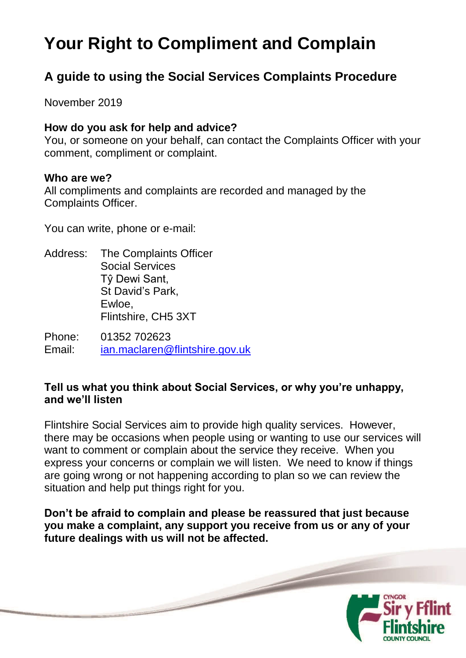# **Your Right to Compliment and Complain**

## **A guide to using the Social Services Complaints Procedure**

November 2019

## **How do you ask for help and advice?**

You, or someone on your behalf, can contact the Complaints Officer with your comment, compliment or complaint.

### **Who are we?**

All compliments and complaints are recorded and managed by the Complaints Officer.

You can write, phone or e-mail:

- Address: The Complaints Officer Social Services Tŷ Dewi Sant, St David's Park, Ewloe, Flintshire, CH5 3XT
- Phone: 01352 702623 Email: [ian.maclaren@flintshire.gov.uk](mailto:ian.maclaren@flintshire.gov.uk)

## **Tell us what you think about Social Services, or why you're unhappy, and we'll listen**

Flintshire Social Services aim to provide high quality services. However, there may be occasions when people using or wanting to use our services will want to comment or complain about the service they receive. When you express your concerns or complain we will listen. We need to know if things are going wrong or not happening according to plan so we can review the situation and help put things right for you.

**Don't be afraid to complain and please be reassured that just because you make a complaint, any support you receive from us or any of your future dealings with us will not be affected.**

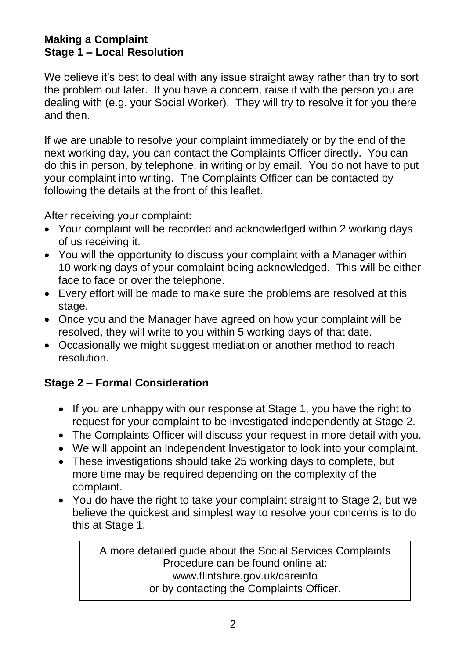## **Making a Complaint Stage 1 – Local Resolution**

We believe it's best to deal with any issue straight away rather than try to sort the problem out later. If you have a concern, raise it with the person you are dealing with (e.g. your Social Worker). They will try to resolve it for you there and then.

If we are unable to resolve your complaint immediately or by the end of the next working day, you can contact the Complaints Officer directly. You can do this in person, by telephone, in writing or by email. You do not have to put your complaint into writing. The Complaints Officer can be contacted by following the details at the front of this leaflet.

After receiving your complaint:

- Your complaint will be recorded and acknowledged within 2 working days of us receiving it.
- You will the opportunity to discuss your complaint with a Manager within 10 working days of your complaint being acknowledged. This will be either face to face or over the telephone.
- Every effort will be made to make sure the problems are resolved at this stage.
- Once you and the Manager have agreed on how your complaint will be resolved, they will write to you within 5 working days of that date.
- Occasionally we might suggest mediation or another method to reach resolution.

## **Stage 2 – Formal Consideration**

- If you are unhappy with our response at Stage 1, you have the right to request for your complaint to be investigated independently at Stage 2.
- The Complaints Officer will discuss your request in more detail with you.
- We will appoint an Independent Investigator to look into your complaint.
- These investigations should take 25 working days to complete, but more time may be required depending on the complexity of the complaint.
- You do have the right to take your complaint straight to Stage 2, but we believe the quickest and simplest way to resolve your concerns is to do this at Stage 1.

A more detailed guide about the Social Services Complaints Procedure can be found online at: www.flintshire.gov.uk/careinfo or by contacting the Complaints Officer.